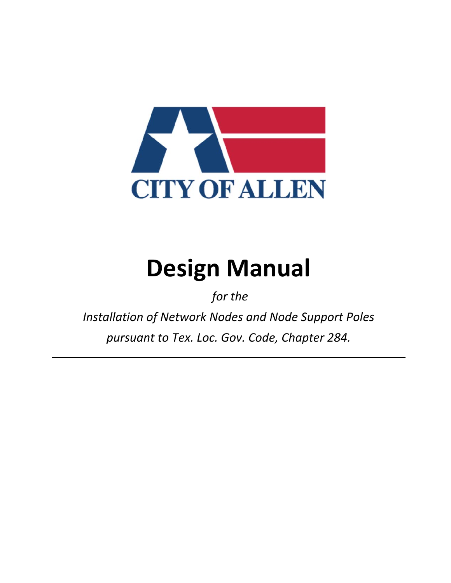

# **Design Manual**

 *for the* 

*Installation of Network Nodes and Node Support Poles pursuant to Tex. Loc. Gov. Code, Chapter 284.*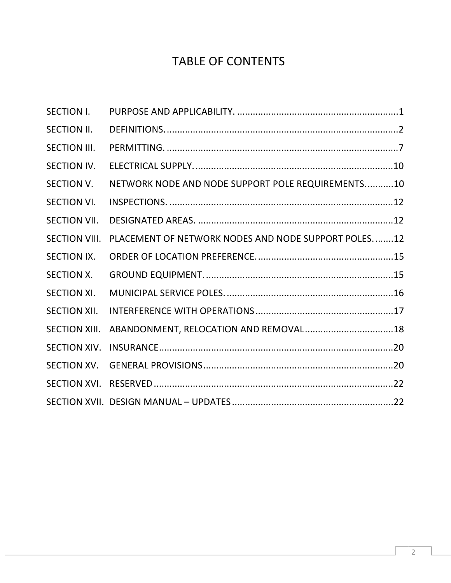## TABLE OF CONTENTS

| <b>SECTION I.</b>    |                                                     |  |
|----------------------|-----------------------------------------------------|--|
| <b>SECTION II.</b>   |                                                     |  |
| <b>SECTION III.</b>  |                                                     |  |
| <b>SECTION IV.</b>   |                                                     |  |
| <b>SECTION V.</b>    | NETWORK NODE AND NODE SUPPORT POLE REQUIREMENTS10   |  |
| <b>SECTION VI.</b>   |                                                     |  |
| <b>SECTION VII.</b>  |                                                     |  |
| <b>SECTION VIII.</b> | PLACEMENT OF NETWORK NODES AND NODE SUPPORT POLES12 |  |
| <b>SECTION IX.</b>   |                                                     |  |
| <b>SECTION X.</b>    |                                                     |  |
| <b>SECTION XI.</b>   |                                                     |  |
| <b>SECTION XII.</b>  |                                                     |  |
| <b>SECTION XIII.</b> |                                                     |  |
| <b>SECTION XIV.</b>  |                                                     |  |
| <b>SECTION XV.</b>   |                                                     |  |
|                      |                                                     |  |
|                      |                                                     |  |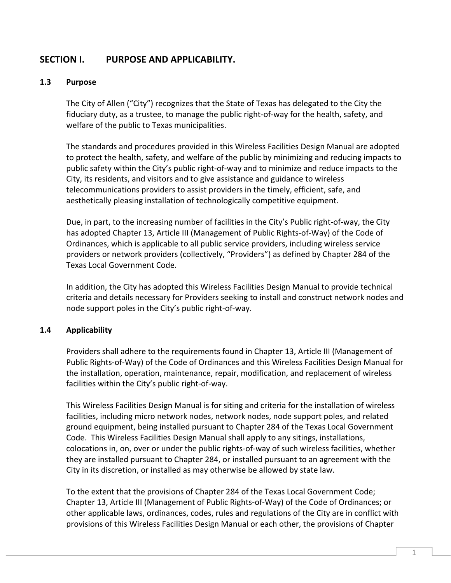## **SECTION I. PURPOSE AND APPLICABILITY.**

#### **1.3 Purpose**

The City of Allen ("City") recognizes that the State of Texas has delegated to the City the fiduciary duty, as a trustee, to manage the public right-of-way for the health, safety, and welfare of the public to Texas municipalities.

The standards and procedures provided in this Wireless Facilities Design Manual are adopted to protect the health, safety, and welfare of the public by minimizing and reducing impacts to public safety within the City's public right-of-way and to minimize and reduce impacts to the City, its residents, and visitors and to give assistance and guidance to wireless telecommunications providers to assist providers in the timely, efficient, safe, and aesthetically pleasing installation of technologically competitive equipment.

Due, in part, to the increasing number of facilities in the City's Public right-of-way, the City has adopted Chapter 13, Article III (Management of Public Rights-of-Way) of the Code of Ordinances, which is applicable to all public service providers, including wireless service providers or network providers (collectively, "Providers") as defined by Chapter 284 of the Texas Local Government Code.

In addition, the City has adopted this Wireless Facilities Design Manual to provide technical criteria and details necessary for Providers seeking to install and construct network nodes and node support poles in the City's public right-of-way.

#### **1.4 Applicability**

Providers shall adhere to the requirements found in Chapter 13, Article III (Management of Public Rights-of-Way) of the Code of Ordinances and this Wireless Facilities Design Manual for the installation, operation, maintenance, repair, modification, and replacement of wireless facilities within the City's public right-of-way.

This Wireless Facilities Design Manual is for siting and criteria for the installation of wireless facilities, including micro network nodes, network nodes, node support poles, and related ground equipment, being installed pursuant to Chapter 284 of the Texas Local Government Code. This Wireless Facilities Design Manual shall apply to any sitings, installations, colocations in, on, over or under the public rights-of-way of such wireless facilities, whether they are installed pursuant to Chapter 284, or installed pursuant to an agreement with the City in its discretion, or installed as may otherwise be allowed by state law.

To the extent that the provisions of Chapter 284 of the Texas Local Government Code; Chapter 13, Article III (Management of Public Rights-of-Way) of the Code of Ordinances; or other applicable laws, ordinances, codes, rules and regulations of the City are in conflict with provisions of this Wireless Facilities Design Manual or each other, the provisions of Chapter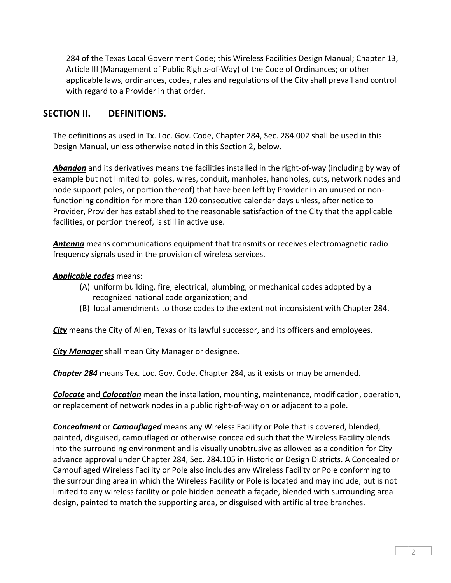284 of the Texas Local Government Code; this Wireless Facilities Design Manual; Chapter 13, Article III (Management of Public Rights-of-Way) of the Code of Ordinances; or other applicable laws, ordinances, codes, rules and regulations of the City shall prevail and control with regard to a Provider in that order.

## **SECTION II. DEFINITIONS.**

The definitions as used in Tx. Loc. Gov. Code, Chapter 284, Sec. 284.002 shall be used in this Design Manual, unless otherwise noted in this Section 2, below.

*Abandon* and its derivatives means the facilities installed in the right-of-way (including by way of example but not limited to: poles, wires, conduit, manholes, handholes, cuts, network nodes and node support poles, or portion thereof) that have been left by Provider in an unused or nonfunctioning condition for more than 120 consecutive calendar days unless, after notice to Provider, Provider has established to the reasonable satisfaction of the City that the applicable facilities, or portion thereof, is still in active use.

*Antenna* means communications equipment that transmits or receives electromagnetic radio frequency signals used in the provision of wireless services.

#### *Applicable codes* means:

- (A) uniform building, fire, electrical, plumbing, or mechanical codes adopted by a recognized national code organization; and
- (B) local amendments to those codes to the extent not inconsistent with Chapter 284.

*City* means the City of Allen, Texas or its lawful successor, and its officers and employees.

*City Manager* shall mean City Manager or designee.

*Chapter 284* means Tex. Loc. Gov. Code, Chapter 284, as it exists or may be amended.

*Colocate* and *Colocation* mean the installation, mounting, maintenance, modification, operation, or replacement of network nodes in a public right-of-way on or adjacent to a pole.

*Concealment* or *Camouflaged* means any Wireless Facility or Pole that is covered, blended, painted, disguised, camouflaged or otherwise concealed such that the Wireless Facility blends into the surrounding environment and is visually unobtrusive as allowed as a condition for City advance approval under Chapter 284, Sec. 284.105 in Historic or Design Districts. A Concealed or Camouflaged Wireless Facility or Pole also includes any Wireless Facility or Pole conforming to the surrounding area in which the Wireless Facility or Pole is located and may include, but is not limited to any wireless facility or pole hidden beneath a façade, blended with surrounding area design, painted to match the supporting area, or disguised with artificial tree branches.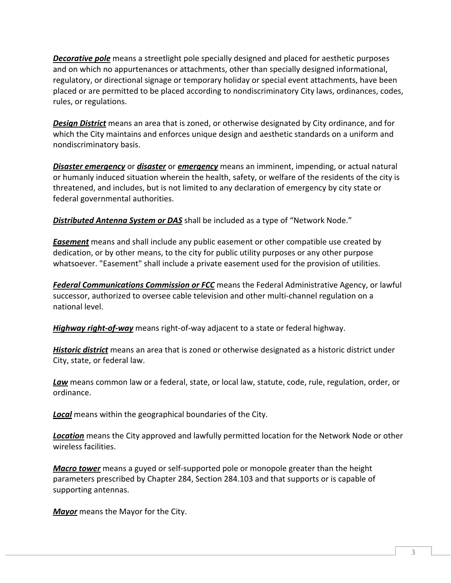*Decorative pole* means a streetlight pole specially designed and placed for aesthetic purposes and on which no appurtenances or attachments, other than specially designed informational, regulatory, or directional signage or temporary holiday or special event attachments, have been placed or are permitted to be placed according to nondiscriminatory City laws, ordinances, codes, rules, or regulations.

*Design District* means an area that is zoned, or otherwise designated by City ordinance, and for which the City maintains and enforces unique design and aesthetic standards on a uniform and nondiscriminatory basis.

*Disaster emergency* or *disaster* or *emergency* means an imminent, impending, or actual natural or humanly induced situation wherein the health, safety, or welfare of the residents of the city is threatened, and includes, but is not limited to any declaration of emergency by city state or federal governmental authorities.

*Distributed Antenna System or DAS* shall be included as a type of "Network Node."

*Easement* means and shall include any public easement or other compatible use created by dedication, or by other means, to the city for public utility purposes or any other purpose whatsoever. "Easement" shall include a private easement used for the provision of utilities.

*Federal Communications Commission or FCC* means the Federal Administrative Agency, or lawful successor, authorized to oversee cable television and other multi-channel regulation on a national level.

*Highway right-of-way* means right-of-way adjacent to a state or federal highway.

*Historic district* means an area that is zoned or otherwise designated as a historic district under City, state, or federal law.

*Law* means common law or a federal, state, or local law, statute, code, rule, regulation, order, or ordinance.

*Local* means within the geographical boundaries of the City.

*Location* means the City approved and lawfully permitted location for the Network Node or other wireless facilities.

*Macro tower* means a guyed or self-supported pole or monopole greater than the height parameters prescribed by Chapter 284, Section 284.103 and that supports or is capable of supporting antennas.

*Mayor* means the Mayor for the City.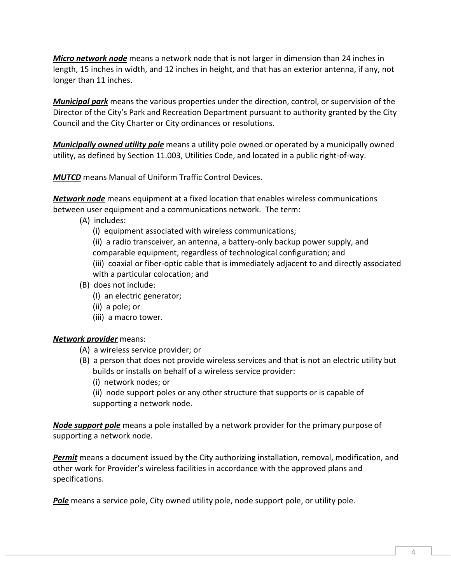*Micro network node* means a network node that is not larger in dimension than 24 inches in length, 15 inches in width, and 12 inches in height, and that has an exterior antenna, if any, not longer than 11 inches.

*Municipal park* means the various properties under the direction, control, or supervision of the Director of the City's Park and Recreation Department pursuant to authority granted by the City Council and the City Charter or City ordinances or resolutions.

*Municipally owned utility pole* means a utility pole owned or operated by a municipally owned utility, as defined by Section 11.003, Utilities Code, and located in a public right-of-way.

*MUTCD* means Manual of Uniform Traffic Control Devices.

*Network node* means equipment at a fixed location that enables wireless communications between user equipment and a communications network. The term:

(A) includes:

(i) equipment associated with wireless communications;

(ii) a radio transceiver, an antenna, a battery-only backup power supply, and

comparable equipment, regardless of technological configuration; and

(iii) coaxial or fiber-optic cable that is immediately adjacent to and directly associated with a particular colocation; and

- (B) does not include:
	- (I) an electric generator;
	- (ii) a pole; or
	- (iii) a macro tower.

## *Network provider* means:

- (A) a wireless service provider; or
- (B) a person that does not provide wireless services and that is not an electric utility but builds or installs on behalf of a wireless service provider:
	- (i) network nodes; or

(ii) node support poles or any other structure that supports or is capable of supporting a network node.

*Node support pole* means a pole installed by a network provider for the primary purpose of supporting a network node.

*Permit* means a document issued by the City authorizing installation, removal, modification, and other work for Provider's wireless facilities in accordance with the approved plans and specifications.

*Pole* means a service pole, City owned utility pole, node support pole, or utility pole.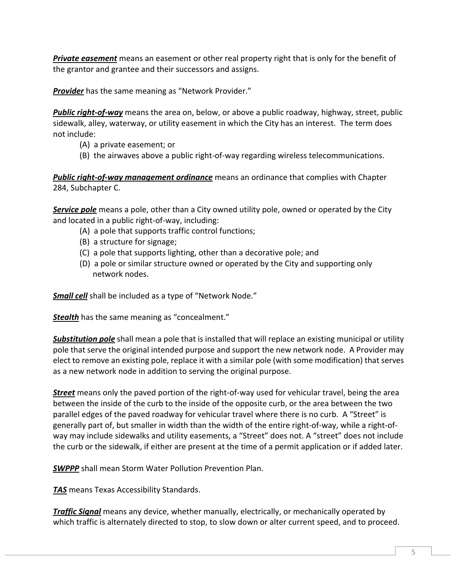*Private easement* means an easement or other real property right that is only for the benefit of the grantor and grantee and their successors and assigns.

*Provider* has the same meaning as "Network Provider."

*Public right-of-way* means the area on, below, or above a public roadway, highway, street, public sidewalk, alley, waterway, or utility easement in which the City has an interest. The term does not include:

- (A) a private easement; or
- (B) the airwaves above a public right-of-way regarding wireless telecommunications.

*Public right-of-way management ordinance* means an ordinance that complies with Chapter 284, Subchapter C.

*Service pole* means a pole, other than a City owned utility pole, owned or operated by the City and located in a public right-of-way, including:

- (A) a pole that supports traffic control functions;
- (B) a structure for signage;
- (C) a pole that supports lighting, other than a decorative pole; and
- (D) a pole or similar structure owned or operated by the City and supporting only network nodes.

**Small cell** shall be included as a type of "Network Node."

**Stealth** has the same meaning as "concealment."

*Substitution pole* shall mean a pole that is installed that will replace an existing municipal or utility pole that serve the original intended purpose and support the new network node. A Provider may elect to remove an existing pole, replace it with a similar pole (with some modification) that serves as a new network node in addition to serving the original purpose.

*Street* means only the paved portion of the right-of-way used for vehicular travel, being the area between the inside of the curb to the inside of the opposite curb, or the area between the two parallel edges of the paved roadway for vehicular travel where there is no curb. A "Street" is generally part of, but smaller in width than the width of the entire right-of-way, while a right-ofway may include sidewalks and utility easements, a "Street" does not. A "street" does not include the curb or the sidewalk, if either are present at the time of a permit application or if added later.

*SWPPP* shall mean Storm Water Pollution Prevention Plan.

*TAS* means Texas Accessibility Standards.

*Traffic Signal* means any device, whether manually, electrically, or mechanically operated by which traffic is alternately directed to stop, to slow down or alter current speed, and to proceed.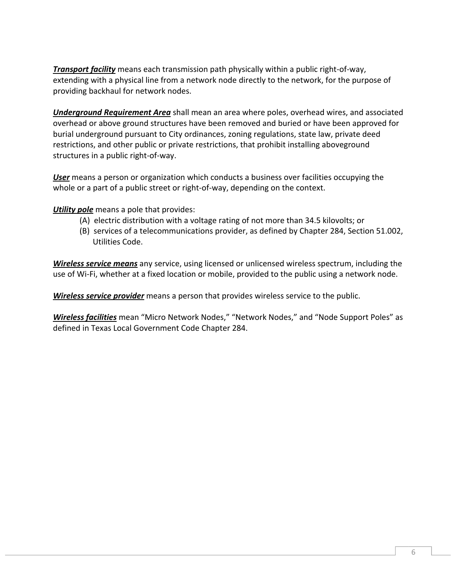*Transport facility* means each transmission path physically within a public right-of-way, extending with a physical line from a network node directly to the network, for the purpose of providing backhaul for network nodes.

*Underground Requirement Area* shall mean an area where poles, overhead wires, and associated overhead or above ground structures have been removed and buried or have been approved for burial underground pursuant to City ordinances, zoning regulations, state law, private deed restrictions, and other public or private restrictions, that prohibit installing aboveground structures in a public right-of-way.

*User* means a person or organization which conducts a business over facilities occupying the whole or a part of a public street or right-of-way, depending on the context.

*Utility pole* means a pole that provides:

- (A) electric distribution with a voltage rating of not more than 34.5 kilovolts; or
- (B) services of a telecommunications provider, as defined by Chapter 284, Section 51.002, Utilities Code.

*Wireless service means* any service, using licensed or unlicensed wireless spectrum, including the use of Wi-Fi, whether at a fixed location or mobile, provided to the public using a network node.

*Wireless service provider* means a person that provides wireless service to the public.

*Wireless facilities* mean "Micro Network Nodes," "Network Nodes," and "Node Support Poles" as defined in Texas Local Government Code Chapter 284.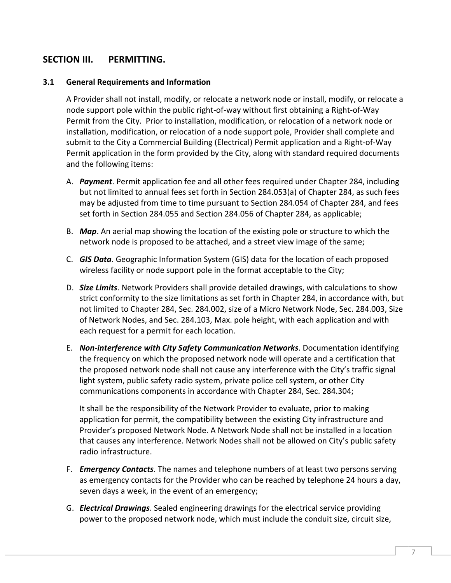## **SECTION III. PERMITTING.**

#### **3.1 General Requirements and Information**

A Provider shall not install, modify, or relocate a network node or install, modify, or relocate a node support pole within the public right-of-way without first obtaining a Right-of-Way Permit from the City. Prior to installation, modification, or relocation of a network node or installation, modification, or relocation of a node support pole, Provider shall complete and submit to the City a Commercial Building (Electrical) Permit application and a Right-of-Way Permit application in the form provided by the City, along with standard required documents and the following items:

- A. *Payment*. Permit application fee and all other fees required under Chapter 284, including but not limited to annual fees set forth in Section 284.053(a) of Chapter 284, as such fees may be adjusted from time to time pursuant to Section 284.054 of Chapter 284, and fees set forth in Section 284.055 and Section 284.056 of Chapter 284, as applicable;
- B. *Map*. An aerial map showing the location of the existing pole or structure to which the network node is proposed to be attached, and a street view image of the same;
- C. *GIS Data*. Geographic Information System (GIS) data for the location of each proposed wireless facility or node support pole in the format acceptable to the City;
- D. *Size Limits*. Network Providers shall provide detailed drawings, with calculations to show strict conformity to the size limitations as set forth in Chapter 284, in accordance with, but not limited to Chapter 284, Sec. 284.002, size of a Micro Network Node, Sec. 284.003, Size of Network Nodes, and Sec. 284.103, Max. pole height, with each application and with each request for a permit for each location.
- E. *Non-interference with City Safety Communication Networks*. Documentation identifying the frequency on which the proposed network node will operate and a certification that the proposed network node shall not cause any interference with the City's traffic signal light system, public safety radio system, private police cell system, or other City communications components in accordance with Chapter 284, Sec. 284.304;

It shall be the responsibility of the Network Provider to evaluate, prior to making application for permit, the compatibility between the existing City infrastructure and Provider's proposed Network Node. A Network Node shall not be installed in a location that causes any interference. Network Nodes shall not be allowed on City's public safety radio infrastructure.

- F. *Emergency Contacts*. The names and telephone numbers of at least two persons serving as emergency contacts for the Provider who can be reached by telephone 24 hours a day, seven days a week, in the event of an emergency;
- G. *Electrical Drawings*. Sealed engineering drawings for the electrical service providing power to the proposed network node, which must include the conduit size, circuit size,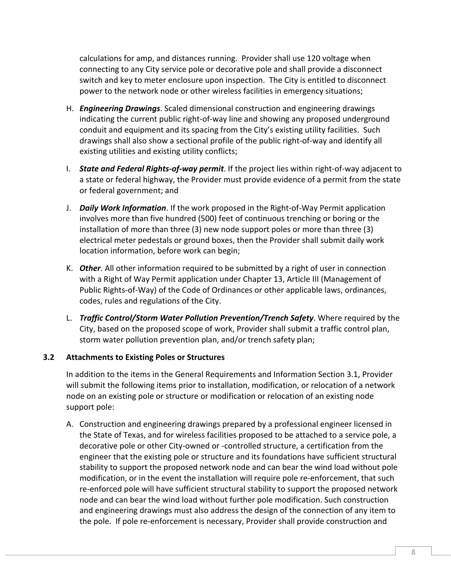calculations for amp, and distances running. Provider shall use 120 voltage when connecting to any City service pole or decorative pole and shall provide a disconnect switch and key to meter enclosure upon inspection. The City is entitled to disconnect power to the network node or other wireless facilities in emergency situations;

- H. *Engineering Drawings*. Scaled dimensional construction and engineering drawings indicating the current public right-of-way line and showing any proposed underground conduit and equipment and its spacing from the City's existing utility facilities. Such drawings shall also show a sectional profile of the public right-of-way and identify all existing utilities and existing utility conflicts;
- I. *State and Federal Rights-of-way permit*. If the project lies within right-of-way adjacent to a state or federal highway, the Provider must provide evidence of a permit from the state or federal government; and
- J. *Daily Work Information*. If the work proposed in the Right-of-Way Permit application involves more than five hundred (500) feet of continuous trenching or boring or the installation of more than three (3) new node support poles or more than three (3) electrical meter pedestals or ground boxes, then the Provider shall submit daily work location information, before work can begin;
- K. *Other*. All other information required to be submitted by a right of user in connection with a Right of Way Permit application under Chapter 13, Article III (Management of Public Rights-of-Way) of the Code of Ordinances or other applicable laws, ordinances, codes, rules and regulations of the City.
- L. *Traffic Control/Storm Water Pollution Prevention/Trench Safety*. Where required by the City, based on the proposed scope of work, Provider shall submit a traffic control plan, storm water pollution prevention plan, and/or trench safety plan;

#### **3.2 Attachments to Existing Poles or Structures**

In addition to the items in the General Requirements and Information Section 3.1, Provider will submit the following items prior to installation, modification, or relocation of a network node on an existing pole or structure or modification or relocation of an existing node support pole:

A. Construction and engineering drawings prepared by a professional engineer licensed in the State of Texas, and for wireless facilities proposed to be attached to a service pole, a decorative pole or other City-owned or -controlled structure, a certification from the engineer that the existing pole or structure and its foundations have sufficient structural stability to support the proposed network node and can bear the wind load without pole modification, or in the event the installation will require pole re-enforcement, that such re-enforced pole will have sufficient structural stability to support the proposed network node and can bear the wind load without further pole modification. Such construction and engineering drawings must also address the design of the connection of any item to the pole. If pole re-enforcement is necessary, Provider shall provide construction and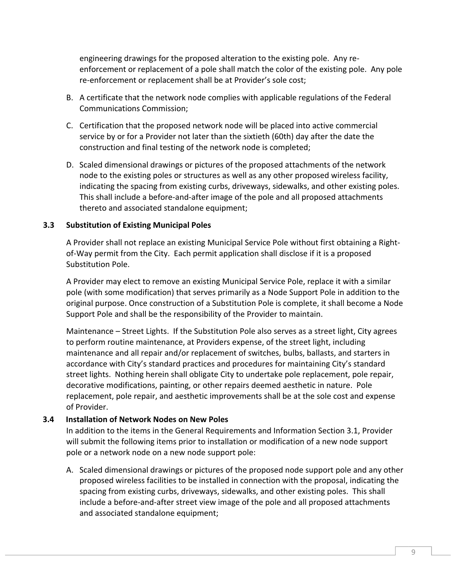engineering drawings for the proposed alteration to the existing pole. Any reenforcement or replacement of a pole shall match the color of the existing pole. Any pole re-enforcement or replacement shall be at Provider's sole cost;

- B. A certificate that the network node complies with applicable regulations of the Federal Communications Commission;
- C. Certification that the proposed network node will be placed into active commercial service by or for a Provider not later than the sixtieth (60th) day after the date the construction and final testing of the network node is completed;
- D. Scaled dimensional drawings or pictures of the proposed attachments of the network node to the existing poles or structures as well as any other proposed wireless facility, indicating the spacing from existing curbs, driveways, sidewalks, and other existing poles. This shall include a before-and-after image of the pole and all proposed attachments thereto and associated standalone equipment;

#### **3.3 Substitution of Existing Municipal Poles**

A Provider shall not replace an existing Municipal Service Pole without first obtaining a Rightof-Way permit from the City. Each permit application shall disclose if it is a proposed Substitution Pole.

A Provider may elect to remove an existing Municipal Service Pole, replace it with a similar pole (with some modification) that serves primarily as a Node Support Pole in addition to the original purpose. Once construction of a Substitution Pole is complete, it shall become a Node Support Pole and shall be the responsibility of the Provider to maintain.

Maintenance – Street Lights. If the Substitution Pole also serves as a street light, City agrees to perform routine maintenance, at Providers expense, of the street light, including maintenance and all repair and/or replacement of switches, bulbs, ballasts, and starters in accordance with City's standard practices and procedures for maintaining City's standard street lights. Nothing herein shall obligate City to undertake pole replacement, pole repair, decorative modifications, painting, or other repairs deemed aesthetic in nature. Pole replacement, pole repair, and aesthetic improvements shall be at the sole cost and expense of Provider.

#### **3.4 Installation of Network Nodes on New Poles**

In addition to the items in the General Requirements and Information Section 3.1, Provider will submit the following items prior to installation or modification of a new node support pole or a network node on a new node support pole:

A. Scaled dimensional drawings or pictures of the proposed node support pole and any other proposed wireless facilities to be installed in connection with the proposal, indicating the spacing from existing curbs, driveways, sidewalks, and other existing poles. This shall include a before-and-after street view image of the pole and all proposed attachments and associated standalone equipment;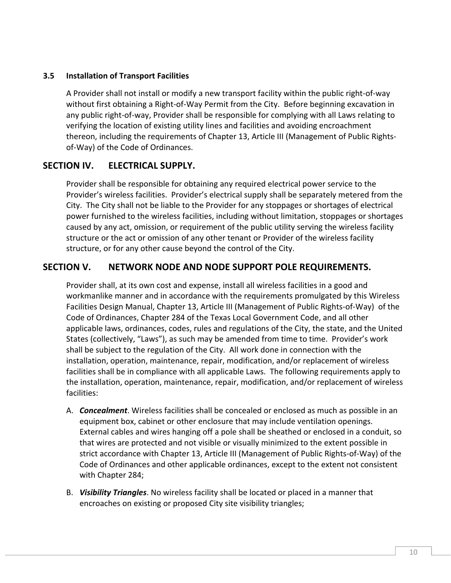#### **3.5 Installation of Transport Facilities**

A Provider shall not install or modify a new transport facility within the public right-of-way without first obtaining a Right-of-Way Permit from the City. Before beginning excavation in any public right-of-way, Provider shall be responsible for complying with all Laws relating to verifying the location of existing utility lines and facilities and avoiding encroachment thereon, including the requirements of Chapter 13, Article III (Management of Public Rightsof-Way) of the Code of Ordinances.

## **SECTION IV. ELECTRICAL SUPPLY.**

Provider shall be responsible for obtaining any required electrical power service to the Provider's wireless facilities. Provider's electrical supply shall be separately metered from the City. The City shall not be liable to the Provider for any stoppages or shortages of electrical power furnished to the wireless facilities, including without limitation, stoppages or shortages caused by any act, omission, or requirement of the public utility serving the wireless facility structure or the act or omission of any other tenant or Provider of the wireless facility structure, or for any other cause beyond the control of the City.

## **SECTION V. NETWORK NODE AND NODE SUPPORT POLE REQUIREMENTS.**

Provider shall, at its own cost and expense, install all wireless facilities in a good and workmanlike manner and in accordance with the requirements promulgated by this Wireless Facilities Design Manual, Chapter 13, Article III (Management of Public Rights-of-Way) of the Code of Ordinances, Chapter 284 of the Texas Local Government Code, and all other applicable laws, ordinances, codes, rules and regulations of the City, the state, and the United States (collectively, "Laws"), as such may be amended from time to time. Provider's work shall be subject to the regulation of the City. All work done in connection with the installation, operation, maintenance, repair, modification, and/or replacement of wireless facilities shall be in compliance with all applicable Laws. The following requirements apply to the installation, operation, maintenance, repair, modification, and/or replacement of wireless facilities:

- A. *Concealment*. Wireless facilities shall be concealed or enclosed as much as possible in an equipment box, cabinet or other enclosure that may include ventilation openings. External cables and wires hanging off a pole shall be sheathed or enclosed in a conduit, so that wires are protected and not visible or visually minimized to the extent possible in strict accordance with Chapter 13, Article III (Management of Public Rights-of-Way) of the Code of Ordinances and other applicable ordinances, except to the extent not consistent with Chapter 284;
- B. *Visibility Triangles*. No wireless facility shall be located or placed in a manner that encroaches on existing or proposed City site visibility triangles;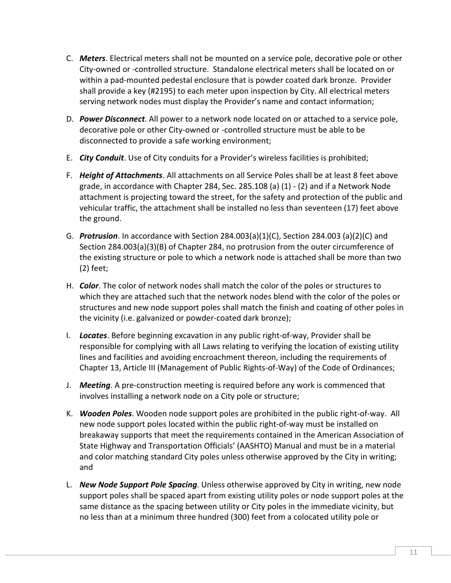- C. *Meters*. Electrical meters shall not be mounted on a service pole, decorative pole or other City-owned or -controlled structure. Standalone electrical meters shall be located on or within a pad-mounted pedestal enclosure that is powder coated dark bronze. Provider shall provide a key (#2195) to each meter upon inspection by City. All electrical meters serving network nodes must display the Provider's name and contact information;
- D. *Power Disconnect*. All power to a network node located on or attached to a service pole, decorative pole or other City-owned or -controlled structure must be able to be disconnected to provide a safe working environment;
- E. *City Conduit*. Use of City conduits for a Provider's wireless facilities is prohibited;
- F. *Height of Attachments*. All attachments on all Service Poles shall be at least 8 feet above grade, in accordance with Chapter 284, Sec. 285.108 (a) (1) - (2) and if a Network Node attachment is projecting toward the street, for the safety and protection of the public and vehicular traffic, the attachment shall be installed no less than seventeen (17) feet above the ground.
- G. *Protrusion*. In accordance with Section 284.003(a)(1)(C), Section 284.003 (a)(2)(C) and Section 284.003(a)(3)(B) of Chapter 284, no protrusion from the outer circumference of the existing structure or pole to which a network node is attached shall be more than two (2) feet;
- H. *Color*. The color of network nodes shall match the color of the poles or structures to which they are attached such that the network nodes blend with the color of the poles or structures and new node support poles shall match the finish and coating of other poles in the vicinity (i.e. galvanized or powder-coated dark bronze);
- I. *Locates*. Before beginning excavation in any public right-of-way, Provider shall be responsible for complying with all Laws relating to verifying the location of existing utility lines and facilities and avoiding encroachment thereon, including the requirements of Chapter 13, Article III (Management of Public Rights-of-Way) of the Code of Ordinances;
- J. *Meeting*. A pre-construction meeting is required before any work is commenced that involves installing a network node on a City pole or structure;
- K. *Wooden Poles*. Wooden node support poles are prohibited in the public right-of-way. All new node support poles located within the public right-of-way must be installed on breakaway supports that meet the requirements contained in the American Association of State Highway and Transportation Officials' (AASHTO) Manual and must be in a material and color matching standard City poles unless otherwise approved by the City in writing; and
- L. *New Node Support Pole Spacing.* Unless otherwise approved by City in writing, new node support poles shall be spaced apart from existing utility poles or node support poles at the same distance as the spacing between utility or City poles in the immediate vicinity, but no less than at a minimum three hundred (300) feet from a colocated utility pole or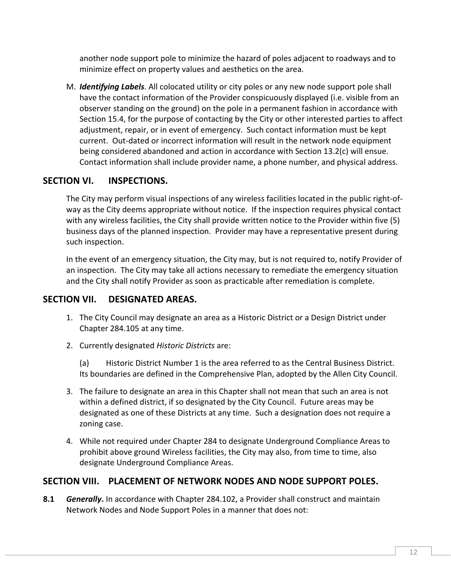another node support pole to minimize the hazard of poles adjacent to roadways and to minimize effect on property values and aesthetics on the area.

M. *Identifying Labels*. All colocated utility or city poles or any new node support pole shall have the contact information of the Provider conspicuously displayed (i.e. visible from an observer standing on the ground) on the pole in a permanent fashion in accordance with Section 15.4, for the purpose of contacting by the City or other interested parties to affect adjustment, repair, or in event of emergency. Such contact information must be kept current. Out-dated or incorrect information will result in the network node equipment being considered abandoned and action in accordance with Section 13.2(c) will ensue. Contact information shall include provider name, a phone number, and physical address.

## **SECTION VI. INSPECTIONS.**

The City may perform visual inspections of any wireless facilities located in the public right-ofway as the City deems appropriate without notice. If the inspection requires physical contact with any wireless facilities, the City shall provide written notice to the Provider within five (5) business days of the planned inspection. Provider may have a representative present during such inspection.

In the event of an emergency situation, the City may, but is not required to, notify Provider of an inspection. The City may take all actions necessary to remediate the emergency situation and the City shall notify Provider as soon as practicable after remediation is complete.

## **SECTION VII. DESIGNATED AREAS.**

- 1. The City Council may designate an area as a Historic District or a Design District under Chapter 284.105 at any time.
- 2. Currently designated *Historic Districts* are:

 (a) Historic District Number 1 is the area referred to as the Central Business District. Its boundaries are defined in the Comprehensive Plan, adopted by the Allen City Council.

- 3. The failure to designate an area in this Chapter shall not mean that such an area is not within a defined district, if so designated by the City Council. Future areas may be designated as one of these Districts at any time. Such a designation does not require a zoning case.
- 4. While not required under Chapter 284 to designate Underground Compliance Areas to prohibit above ground Wireless facilities, the City may also, from time to time, also designate Underground Compliance Areas.

## **SECTION VIII. PLACEMENT OF NETWORK NODES AND NODE SUPPORT POLES.**

**8.1** *Generally***.** In accordance with Chapter 284.102, a Provider shall construct and maintain Network Nodes and Node Support Poles in a manner that does not: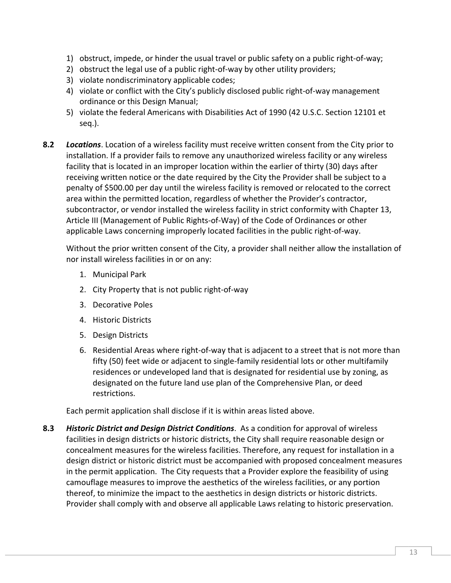- 1) obstruct, impede, or hinder the usual travel or public safety on a public right-of-way;
- 2) obstruct the legal use of a public right-of-way by other utility providers;
- 3) violate nondiscriminatory applicable codes;
- 4) violate or conflict with the City's publicly disclosed public right-of-way management ordinance or this Design Manual;
- 5) violate the federal Americans with Disabilities Act of 1990 (42 U.S.C. Section 12101 et seq.).
- **8.2** *Locations*. Location of a wireless facility must receive written consent from the City prior to installation. If a provider fails to remove any unauthorized wireless facility or any wireless facility that is located in an improper location within the earlier of thirty (30) days after receiving written notice or the date required by the City the Provider shall be subject to a penalty of \$500.00 per day until the wireless facility is removed or relocated to the correct area within the permitted location, regardless of whether the Provider's contractor, subcontractor, or vendor installed the wireless facility in strict conformity with Chapter 13, Article III (Management of Public Rights-of-Way) of the Code of Ordinances or other applicable Laws concerning improperly located facilities in the public right-of-way.

Without the prior written consent of the City, a provider shall neither allow the installation of nor install wireless facilities in or on any:

- 1. Municipal Park
- 2. City Property that is not public right-of-way
- 3. Decorative Poles
- 4. Historic Districts
- 5. Design Districts
- 6. Residential Areas where right-of-way that is adjacent to a street that is not more than fifty (50) feet wide or adjacent to single-family residential lots or other multifamily residences or undeveloped land that is designated for residential use by zoning, as designated on the future land use plan of the Comprehensive Plan, or deed restrictions.

Each permit application shall disclose if it is within areas listed above.

**8.3** *Historic District and Design District Conditions*. As a condition for approval of wireless facilities in design districts or historic districts, the City shall require reasonable design or concealment measures for the wireless facilities. Therefore, any request for installation in a design district or historic district must be accompanied with proposed concealment measures in the permit application. The City requests that a Provider explore the feasibility of using camouflage measures to improve the aesthetics of the wireless facilities, or any portion thereof, to minimize the impact to the aesthetics in design districts or historic districts. Provider shall comply with and observe all applicable Laws relating to historic preservation.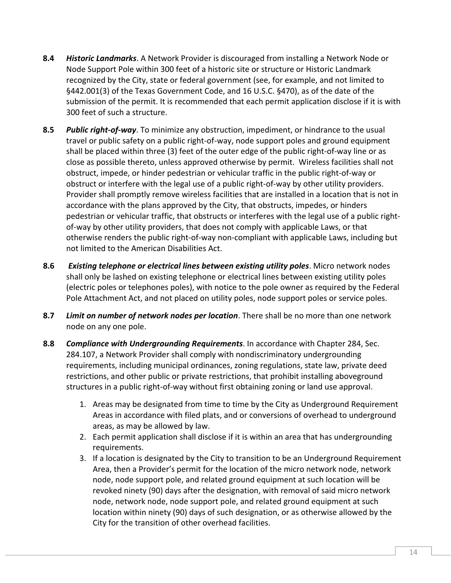- **8.4** *Historic Landmarks*. A Network Provider is discouraged from installing a Network Node or Node Support Pole within 300 feet of a historic site or structure or Historic Landmark recognized by the City, state or federal government (see, for example, and not limited to §442.001(3) of the Texas Government Code, and 16 U.S.C. §470), as of the date of the submission of the permit. It is recommended that each permit application disclose if it is with 300 feet of such a structure.
- **8.5** *Public right-of-way*. To minimize any obstruction, impediment, or hindrance to the usual travel or public safety on a public right-of-way, node support poles and ground equipment shall be placed within three (3) feet of the outer edge of the public right-of-way line or as close as possible thereto, unless approved otherwise by permit. Wireless facilities shall not obstruct, impede, or hinder pedestrian or vehicular traffic in the public right-of-way or obstruct or interfere with the legal use of a public right-of-way by other utility providers. Provider shall promptly remove wireless facilities that are installed in a location that is not in accordance with the plans approved by the City, that obstructs, impedes, or hinders pedestrian or vehicular traffic, that obstructs or interferes with the legal use of a public rightof-way by other utility providers, that does not comply with applicable Laws, or that otherwise renders the public right-of-way non-compliant with applicable Laws, including but not limited to the American Disabilities Act.
- **8.6** *Existing telephone or electrical lines between existing utility poles*. Micro network nodes shall only be lashed on existing telephone or electrical lines between existing utility poles (electric poles or telephones poles), with notice to the pole owner as required by the Federal Pole Attachment Act, and not placed on utility poles, node support poles or service poles.
- **8.7** *Limit on number of network nodes per location*. There shall be no more than one network node on any one pole.
- **8.8** *Compliance with Undergrounding Requirements*. In accordance with Chapter 284, Sec. 284.107, a Network Provider shall comply with nondiscriminatory undergrounding requirements, including municipal ordinances, zoning regulations, state law, private deed restrictions, and other public or private restrictions, that prohibit installing aboveground structures in a public right-of-way without first obtaining zoning or land use approval.
	- 1. Areas may be designated from time to time by the City as Underground Requirement Areas in accordance with filed plats, and or conversions of overhead to underground areas, as may be allowed by law.
	- 2. Each permit application shall disclose if it is within an area that has undergrounding requirements.
	- 3. If a location is designated by the City to transition to be an Underground Requirement Area, then a Provider's permit for the location of the micro network node, network node, node support pole, and related ground equipment at such location will be revoked ninety (90) days after the designation, with removal of said micro network node, network node, node support pole, and related ground equipment at such location within ninety (90) days of such designation, or as otherwise allowed by the City for the transition of other overhead facilities.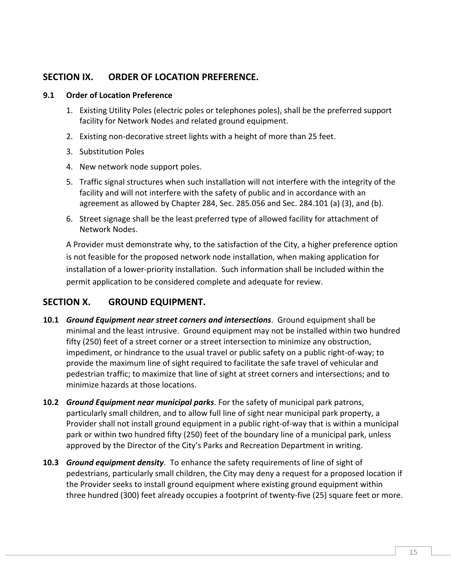## **SECTION IX. ORDER OF LOCATION PREFERENCE.**

#### **9.1 Order of Location Preference**

- 1. Existing Utility Poles (electric poles or telephones poles), shall be the preferred support facility for Network Nodes and related ground equipment.
- 2. Existing non-decorative street lights with a height of more than 25 feet.
- 3. Substitution Poles
- 4. New network node support poles.
- 5. Traffic signal structures when such installation will not interfere with the integrity of the facility and will not interfere with the safety of public and in accordance with an agreement as allowed by Chapter 284, Sec. 285.056 and Sec. 284.101 (a) (3), and (b).
- 6. Street signage shall be the least preferred type of allowed facility for attachment of Network Nodes.

A Provider must demonstrate why, to the satisfaction of the City, a higher preference option is not feasible for the proposed network node installation, when making application for installation of a lower-priority installation. Such information shall be included within the permit application to be considered complete and adequate for review.

## **SECTION X. GROUND EQUIPMENT.**

- **10.1** *Ground Equipment near street corners and intersections*. Ground equipment shall be minimal and the least intrusive. Ground equipment may not be installed within two hundred fifty (250) feet of a street corner or a street intersection to minimize any obstruction, impediment, or hindrance to the usual travel or public safety on a public right-of-way; to provide the maximum line of sight required to facilitate the safe travel of vehicular and pedestrian traffic; to maximize that line of sight at street corners and intersections; and to minimize hazards at those locations.
- **10.2** *Ground Equipment near municipal parks*. For the safety of municipal park patrons, particularly small children, and to allow full line of sight near municipal park property, a Provider shall not install ground equipment in a public right-of-way that is within a municipal park or within two hundred fifty (250) feet of the boundary line of a municipal park, unless approved by the Director of the City's Parks and Recreation Department in writing.
- **10.3** *Ground equipment density*. To enhance the safety requirements of line of sight of pedestrians, particularly small children, the City may deny a request for a proposed location if the Provider seeks to install ground equipment where existing ground equipment within three hundred (300) feet already occupies a footprint of twenty-five (25) square feet or more.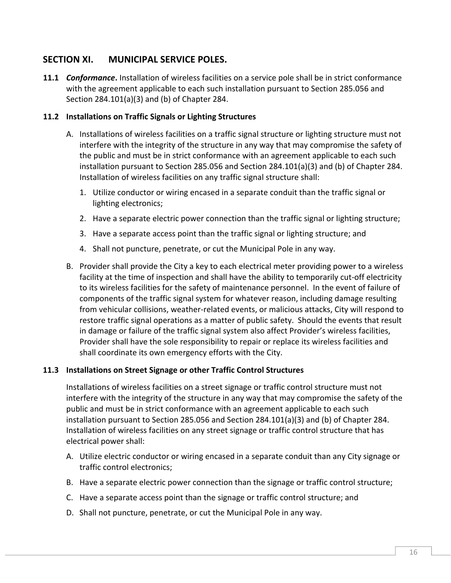## **SECTION XI. MUNICIPAL SERVICE POLES.**

**11.1** *Conformance***.** Installation of wireless facilities on a service pole shall be in strict conformance with the agreement applicable to each such installation pursuant to Section 285.056 and Section 284.101(a)(3) and (b) of Chapter 284.

#### **11.2 Installations on Traffic Signals or Lighting Structures**

- A. Installations of wireless facilities on a traffic signal structure or lighting structure must not interfere with the integrity of the structure in any way that may compromise the safety of the public and must be in strict conformance with an agreement applicable to each such installation pursuant to Section 285.056 and Section 284.101(a)(3) and (b) of Chapter 284. Installation of wireless facilities on any traffic signal structure shall:
	- 1. Utilize conductor or wiring encased in a separate conduit than the traffic signal or lighting electronics;
	- 2. Have a separate electric power connection than the traffic signal or lighting structure;
	- 3. Have a separate access point than the traffic signal or lighting structure; and
	- 4. Shall not puncture, penetrate, or cut the Municipal Pole in any way.
- B. Provider shall provide the City a key to each electrical meter providing power to a wireless facility at the time of inspection and shall have the ability to temporarily cut-off electricity to its wireless facilities for the safety of maintenance personnel. In the event of failure of components of the traffic signal system for whatever reason, including damage resulting from vehicular collisions, weather-related events, or malicious attacks, City will respond to restore traffic signal operations as a matter of public safety. Should the events that result in damage or failure of the traffic signal system also affect Provider's wireless facilities, Provider shall have the sole responsibility to repair or replace its wireless facilities and shall coordinate its own emergency efforts with the City.

#### **11.3 Installations on Street Signage or other Traffic Control Structures**

Installations of wireless facilities on a street signage or traffic control structure must not interfere with the integrity of the structure in any way that may compromise the safety of the public and must be in strict conformance with an agreement applicable to each such installation pursuant to Section 285.056 and Section 284.101(a)(3) and (b) of Chapter 284. Installation of wireless facilities on any street signage or traffic control structure that has electrical power shall:

- A. Utilize electric conductor or wiring encased in a separate conduit than any City signage or traffic control electronics;
- B. Have a separate electric power connection than the signage or traffic control structure;
- C. Have a separate access point than the signage or traffic control structure; and
- D. Shall not puncture, penetrate, or cut the Municipal Pole in any way.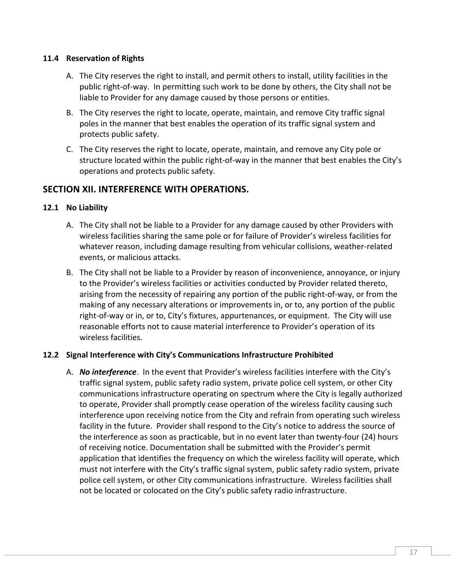#### **11.4 Reservation of Rights**

- A. The City reserves the right to install, and permit others to install, utility facilities in the public right-of-way. In permitting such work to be done by others, the City shall not be liable to Provider for any damage caused by those persons or entities.
- B. The City reserves the right to locate, operate, maintain, and remove City traffic signal poles in the manner that best enables the operation of its traffic signal system and protects public safety.
- C. The City reserves the right to locate, operate, maintain, and remove any City pole or structure located within the public right-of-way in the manner that best enables the City's operations and protects public safety.

## **SECTION XII. INTERFERENCE WITH OPERATIONS.**

#### **12.1 No Liability**

- A. The City shall not be liable to a Provider for any damage caused by other Providers with wireless facilities sharing the same pole or for failure of Provider's wireless facilities for whatever reason, including damage resulting from vehicular collisions, weather-related events, or malicious attacks.
- B. The City shall not be liable to a Provider by reason of inconvenience, annoyance, or injury to the Provider's wireless facilities or activities conducted by Provider related thereto, arising from the necessity of repairing any portion of the public right-of-way, or from the making of any necessary alterations or improvements in, or to, any portion of the public right-of-way or in, or to, City's fixtures, appurtenances, or equipment. The City will use reasonable efforts not to cause material interference to Provider's operation of its wireless facilities.

#### **12.2 Signal Interference with City's Communications Infrastructure Prohibited**

A. *No interference*. In the event that Provider's wireless facilities interfere with the City's traffic signal system, public safety radio system, private police cell system, or other City communications infrastructure operating on spectrum where the City is legally authorized to operate, Provider shall promptly cease operation of the wireless facility causing such interference upon receiving notice from the City and refrain from operating such wireless facility in the future. Provider shall respond to the City's notice to address the source of the interference as soon as practicable, but in no event later than twenty-four (24) hours of receiving notice. Documentation shall be submitted with the Provider's permit application that identifies the frequency on which the wireless facility will operate, which must not interfere with the City's traffic signal system, public safety radio system, private police cell system, or other City communications infrastructure. Wireless facilities shall not be located or colocated on the City's public safety radio infrastructure.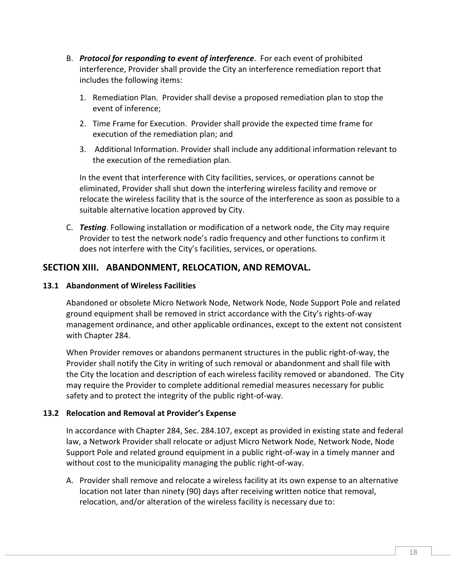- B. *Protocol for responding to event of interference*. For each event of prohibited interference, Provider shall provide the City an interference remediation report that includes the following items:
	- 1. Remediation Plan. Provider shall devise a proposed remediation plan to stop the event of inference;
	- 2. Time Frame for Execution. Provider shall provide the expected time frame for execution of the remediation plan; and
	- 3. Additional Information. Provider shall include any additional information relevant to the execution of the remediation plan.

In the event that interference with City facilities, services, or operations cannot be eliminated, Provider shall shut down the interfering wireless facility and remove or relocate the wireless facility that is the source of the interference as soon as possible to a suitable alternative location approved by City.

C. *Testing*. Following installation or modification of a network node, the City may require Provider to test the network node's radio frequency and other functions to confirm it does not interfere with the City's facilities, services, or operations.

## **SECTION XIII. ABANDONMENT, RELOCATION, AND REMOVAL.**

#### **13.1 Abandonment of Wireless Facilities**

Abandoned or obsolete Micro Network Node, Network Node, Node Support Pole and related ground equipment shall be removed in strict accordance with the City's rights-of-way management ordinance, and other applicable ordinances, except to the extent not consistent with Chapter 284.

When Provider removes or abandons permanent structures in the public right-of-way, the Provider shall notify the City in writing of such removal or abandonment and shall file with the City the location and description of each wireless facility removed or abandoned. The City may require the Provider to complete additional remedial measures necessary for public safety and to protect the integrity of the public right-of-way.

#### **13.2 Relocation and Removal at Provider's Expense**

In accordance with Chapter 284, Sec. 284.107, except as provided in existing state and federal law, a Network Provider shall relocate or adjust Micro Network Node, Network Node, Node Support Pole and related ground equipment in a public right-of-way in a timely manner and without cost to the municipality managing the public right-of-way.

A. Provider shall remove and relocate a wireless facility at its own expense to an alternative location not later than ninety (90) days after receiving written notice that removal, relocation, and/or alteration of the wireless facility is necessary due to: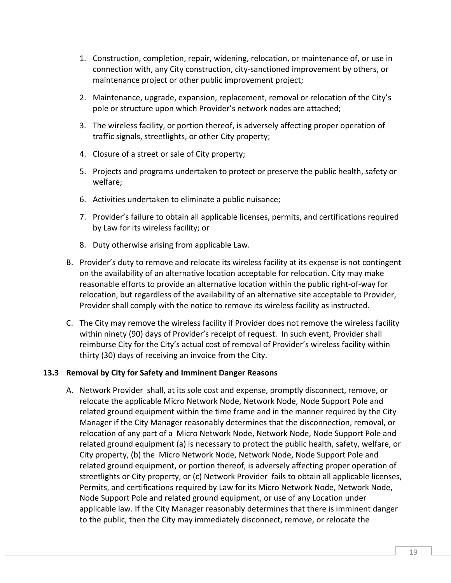- 1. Construction, completion, repair, widening, relocation, or maintenance of, or use in connection with, any City construction, city-sanctioned improvement by others, or maintenance project or other public improvement project;
- 2. Maintenance, upgrade, expansion, replacement, removal or relocation of the City's pole or structure upon which Provider's network nodes are attached;
- 3. The wireless facility, or portion thereof, is adversely affecting proper operation of traffic signals, streetlights, or other City property;
- 4. Closure of a street or sale of City property;
- 5. Projects and programs undertaken to protect or preserve the public health, safety or welfare;
- 6. Activities undertaken to eliminate a public nuisance;
- 7. Provider's failure to obtain all applicable licenses, permits, and certifications required by Law for its wireless facility; or
- 8. Duty otherwise arising from applicable Law.
- B. Provider's duty to remove and relocate its wireless facility at its expense is not contingent on the availability of an alternative location acceptable for relocation. City may make reasonable efforts to provide an alternative location within the public right-of-way for relocation, but regardless of the availability of an alternative site acceptable to Provider, Provider shall comply with the notice to remove its wireless facility as instructed.
- C. The City may remove the wireless facility if Provider does not remove the wireless facility within ninety (90) days of Provider's receipt of request. In such event, Provider shall reimburse City for the City's actual cost of removal of Provider's wireless facility within thirty (30) days of receiving an invoice from the City.

#### **13.3 Removal by City for Safety and Imminent Danger Reasons**

A. Network Provider shall, at its sole cost and expense, promptly disconnect, remove, or relocate the applicable Micro Network Node, Network Node, Node Support Pole and related ground equipment within the time frame and in the manner required by the City Manager if the City Manager reasonably determines that the disconnection, removal, or relocation of any part of a Micro Network Node, Network Node, Node Support Pole and related ground equipment (a) is necessary to protect the public health, safety, welfare, or City property, (b) the Micro Network Node, Network Node, Node Support Pole and related ground equipment, or portion thereof, is adversely affecting proper operation of streetlights or City property, or (c) Network Provider fails to obtain all applicable licenses, Permits, and certifications required by Law for its Micro Network Node, Network Node, Node Support Pole and related ground equipment, or use of any Location under applicable law. If the City Manager reasonably determines that there is imminent danger to the public, then the City may immediately disconnect, remove, or relocate the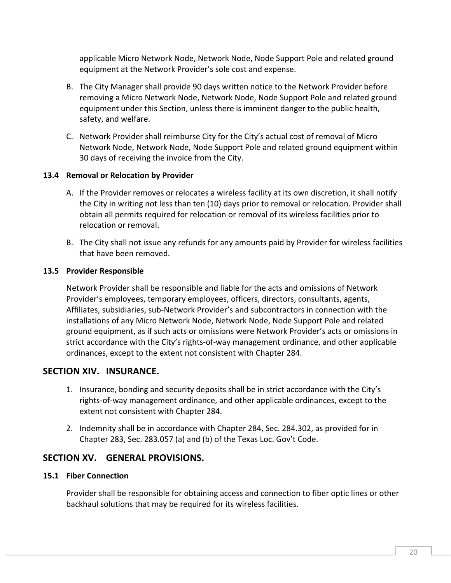applicable Micro Network Node, Network Node, Node Support Pole and related ground equipment at the Network Provider's sole cost and expense.

- B. The City Manager shall provide 90 days written notice to the Network Provider before removing a Micro Network Node, Network Node, Node Support Pole and related ground equipment under this Section, unless there is imminent danger to the public health, safety, and welfare.
- C. Network Provider shall reimburse City for the City's actual cost of removal of Micro Network Node, Network Node, Node Support Pole and related ground equipment within 30 days of receiving the invoice from the City.

#### **13.4 Removal or Relocation by Provider**

- A. If the Provider removes or relocates a wireless facility at its own discretion, it shall notify the City in writing not less than ten (10) days prior to removal or relocation. Provider shall obtain all permits required for relocation or removal of its wireless facilities prior to relocation or removal.
- B. The City shall not issue any refunds for any amounts paid by Provider for wireless facilities that have been removed.

#### **13.5 Provider Responsible**

Network Provider shall be responsible and liable for the acts and omissions of Network Provider's employees, temporary employees, officers, directors, consultants, agents, Affiliates, subsidiaries, sub-Network Provider's and subcontractors in connection with the installations of any Micro Network Node, Network Node, Node Support Pole and related ground equipment, as if such acts or omissions were Network Provider's acts or omissions in strict accordance with the City's rights-of-way management ordinance, and other applicable ordinances, except to the extent not consistent with Chapter 284.

## **SECTION XIV. INSURANCE.**

- 1. Insurance, bonding and security deposits shall be in strict accordance with the City's rights-of-way management ordinance, and other applicable ordinances, except to the extent not consistent with Chapter 284.
- 2. Indemnity shall be in accordance with Chapter 284, Sec. 284.302, as provided for in Chapter 283, Sec. 283.057 (a) and (b) of the Texas Loc. Gov't Code.

## **SECTION XV. GENERAL PROVISIONS.**

#### **15.1 Fiber Connection**

Provider shall be responsible for obtaining access and connection to fiber optic lines or other backhaul solutions that may be required for its wireless facilities.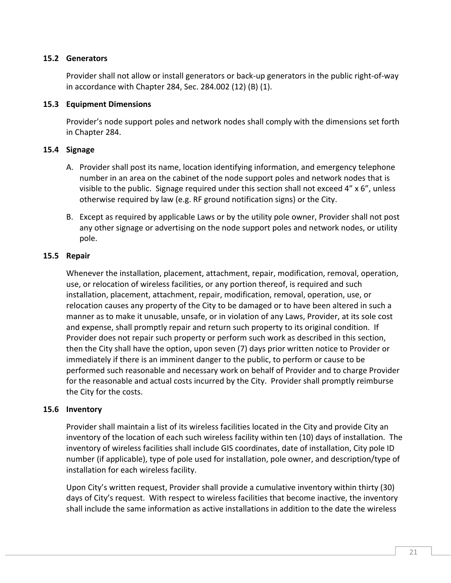#### **15.2 Generators**

Provider shall not allow or install generators or back-up generators in the public right-of-way in accordance with Chapter 284, Sec. 284.002 (12) (B) (1).

#### **15.3 Equipment Dimensions**

Provider's node support poles and network nodes shall comply with the dimensions set forth in Chapter 284.

#### **15.4 Signage**

- A. Provider shall post its name, location identifying information, and emergency telephone number in an area on the cabinet of the node support poles and network nodes that is visible to the public. Signage required under this section shall not exceed 4" x 6", unless otherwise required by law (e.g. RF ground notification signs) or the City.
- B. Except as required by applicable Laws or by the utility pole owner, Provider shall not post any other signage or advertising on the node support poles and network nodes, or utility pole.

#### **15.5 Repair**

Whenever the installation, placement, attachment, repair, modification, removal, operation, use, or relocation of wireless facilities, or any portion thereof, is required and such installation, placement, attachment, repair, modification, removal, operation, use, or relocation causes any property of the City to be damaged or to have been altered in such a manner as to make it unusable, unsafe, or in violation of any Laws, Provider, at its sole cost and expense, shall promptly repair and return such property to its original condition. If Provider does not repair such property or perform such work as described in this section, then the City shall have the option, upon seven (7) days prior written notice to Provider or immediately if there is an imminent danger to the public, to perform or cause to be performed such reasonable and necessary work on behalf of Provider and to charge Provider for the reasonable and actual costs incurred by the City. Provider shall promptly reimburse the City for the costs.

#### **15.6 Inventory**

Provider shall maintain a list of its wireless facilities located in the City and provide City an inventory of the location of each such wireless facility within ten (10) days of installation. The inventory of wireless facilities shall include GIS coordinates, date of installation, City pole ID number (if applicable), type of pole used for installation, pole owner, and description/type of installation for each wireless facility.

Upon City's written request, Provider shall provide a cumulative inventory within thirty (30) days of City's request. With respect to wireless facilities that become inactive, the inventory shall include the same information as active installations in addition to the date the wireless